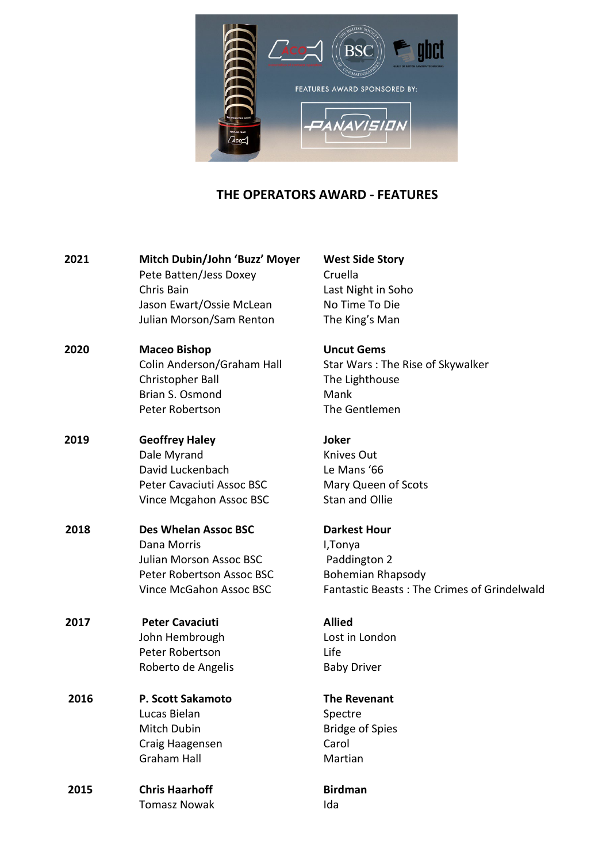

## **THE OPERATORS AWARD - FEATURES**

| 2021 | Mitch Dubin/John 'Buzz' Moyer<br>Pete Batten/Jess Doxey | <b>West Side Story</b><br>Cruella |
|------|---------------------------------------------------------|-----------------------------------|
|      | Chris Bain                                              | Last Night in Soh                 |
|      | Jason Ewart/Ossie McLean                                | No Time To Die                    |
|      | Julian Morson/Sam Renton                                | The King's Man                    |
| 2020 | <b>Maceo Bishop</b>                                     | <b>Uncut Gems</b>                 |
|      | Colin Anderson/Graham Hall                              | Star Wars: The F                  |
|      | Christopher Ball                                        | The Lighthouse                    |
|      | Brian S. Osmond                                         | Mank                              |
|      | Peter Robertson                                         | The Gentlemen                     |
| 2019 | <b>Geoffrey Haley</b>                                   | <b>Joker</b>                      |
|      | Dale Myrand                                             | Knives Out                        |
|      | David Luckenbach                                        | Le Mans '66                       |
|      | Peter Cavaciuti Assoc BSC                               | Mary Queen of S                   |
|      | Vince Mcgahon Assoc BSC                                 | <b>Stan and Ollie</b>             |
| 2018 | <b>Des Whelan Assoc BSC</b>                             | <b>Darkest Hour</b>               |
|      | Dana Morris                                             | I, Tonya                          |
|      | <b>Julian Morson Assoc BSC</b>                          | Paddington 2                      |
|      | Peter Robertson Assoc BSC                               | <b>Bohemian Rhaps</b>             |
|      | <b>Vince McGahon Assoc BSC</b>                          | <b>Fantastic Beasts</b>           |
| 2017 | <b>Peter Cavaciuti</b>                                  | <b>Allied</b>                     |
|      | John Hembrough                                          | Lost in London                    |
|      | Peter Robertson                                         | Life                              |
|      | Roberto de Angelis                                      | <b>Baby Driver</b>                |
| 2016 | P. Scott Sakamoto                                       | <b>The Revenant</b>               |
|      | Lucas Bielan                                            | Spectre                           |
|      | Mitch Dubin                                             | <b>Bridge of Spies</b>            |
|      | Craig Haagensen                                         | Carol                             |
|      | <b>Graham Hall</b>                                      | Martian                           |
| 2015 | <b>Chris Haarhoff</b>                                   | <b>Birdman</b>                    |
|      | <b>Tomasz Nowak</b>                                     | Ida                               |

Cruella Last Night in Soho No Time To Die The King's Man

Star Wars: The Rise of Skywalker The Lighthouse **Mank** The Gentlemen

Knives Out Le Mans '66 Mary Queen of Scots Stan and Ollie

### **Darkest Hour**

I,Tonya Paddington 2 Bohemian Rhapsody Fantastic Beasts : The Crimes of Grindelwald

## **7he Revenant**

## **Birdman**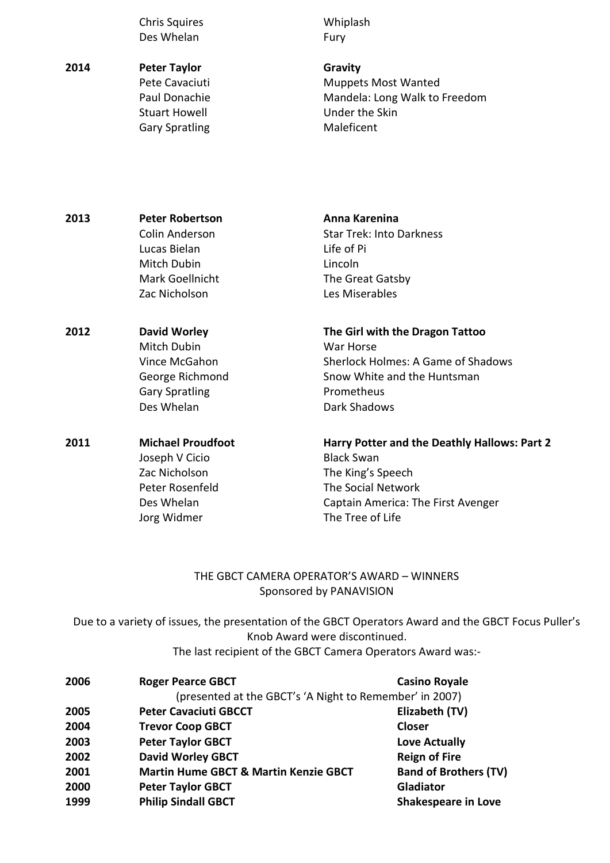Chris Squires Whiplash Des Whelan Fury

**2014 Peter Taylor Gravity**  Pete Cavaciuti **Muppets Most Wanted**<br> **Paul Donachie** Mandela: Long Walk to Mandela: Long Walk to Freedom Stuart Howell **Example 20** Under the Skin Gary Spratling Maleficent

| 2013 | <b>Peter Robertson</b> | Anna Karenina                   |
|------|------------------------|---------------------------------|
|      | Colin Anderson         | <b>Star Trek: Into Darkness</b> |
|      | Lucas Bielan           | Life of Pi                      |
|      | Mitch Dubin            | Lincoln                         |
|      | Mark Goellnicht        | The Great Gatsby                |
|      | Zac Nicholson          | Les Miserables                  |
| 2012 | <b>David Worley</b>    | The Girl with the Dragon Tattoo |
|      | Mitch Dubin            | War Horse                       |

 Vince McGahon Sherlock Holmes: A Game of Shadows George Richmond Snow White and the Huntsman Gary Spratling **Prometheus** Des Whelan **Dark Shadows** 

Joseph V Cicio Black Swan Zac Nicholson The King's Speech Peter Rosenfeld The Social Network Jorg Widmer The Tree of Life

# **2011 Michael Proudfoot Harry Potter and the Deathly Hallows: Part 2**  Des Whelan Captain America: The First Avenger

## THE GBCT CAMERA OPERATOR'S AWARD – WINNERS Sponsored by PANAVISION

Due to a variety of issues, the presentation of the GBCT Operators Award and the GBCT Focus Puller's Knob Award were discontinued.

| The last recipient of the GBCT Camera Operators Award was:- |  |
|-------------------------------------------------------------|--|
|-------------------------------------------------------------|--|

| 2006 | <b>Roger Pearce GBCT</b>                                | <b>Casino Royale</b>         |  |  |
|------|---------------------------------------------------------|------------------------------|--|--|
|      | (presented at the GBCT's 'A Night to Remember' in 2007) |                              |  |  |
| 2005 | <b>Peter Cavaciuti GBCCT</b>                            | Elizabeth (TV)               |  |  |
| 2004 | <b>Trevor Coop GBCT</b>                                 | <b>Closer</b>                |  |  |
| 2003 | <b>Peter Taylor GBCT</b>                                | Love Actually                |  |  |
| 2002 | <b>David Worley GBCT</b>                                | <b>Reign of Fire</b>         |  |  |
| 2001 | <b>Martin Hume GBCT &amp; Martin Kenzie GBCT</b>        | <b>Band of Brothers (TV)</b> |  |  |
| 2000 | <b>Peter Taylor GBCT</b>                                | Gladiator                    |  |  |
| 1999 | <b>Philip Sindall GBCT</b>                              | <b>Shakespeare in Love</b>   |  |  |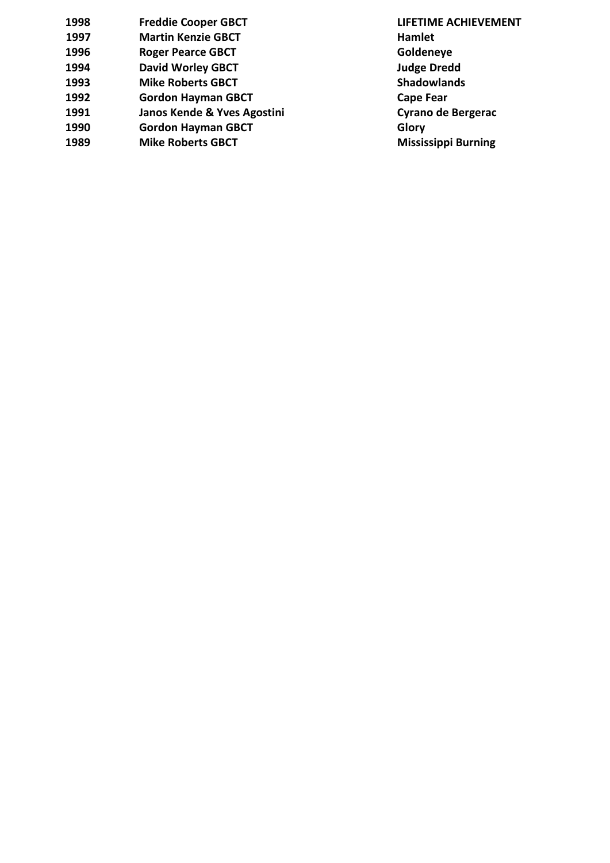| 1998 | <b>Freddie Cooper GBCT</b>  | <b>LIFETIN</b> |
|------|-----------------------------|----------------|
| 1997 | <b>Martin Kenzie GBCT</b>   | Hamlet         |
| 1996 | <b>Roger Pearce GBCT</b>    | Golden         |
| 1994 | <b>David Worley GBCT</b>    | Judge D        |
| 1993 | <b>Mike Roberts GBCT</b>    | Shadov         |
| 1992 | <b>Gordon Hayman GBCT</b>   | Cape F         |
| 1991 | Janos Kende & Yves Agostini | Cyrano         |
| 1990 | <b>Gordon Hayman GBCT</b>   | Glory          |
| 1989 | <b>Mike Roberts GBCT</b>    | <b>Mississ</b> |
|      |                             |                |

**1998 Freddie Cooper GBCT LIFETIME ACHIEVEMENT Goldeneye Judge Dredd Shadowlands Cape Fear 1991 Cyrano de Bergerac**<br>**Glory Mississippi Burning**